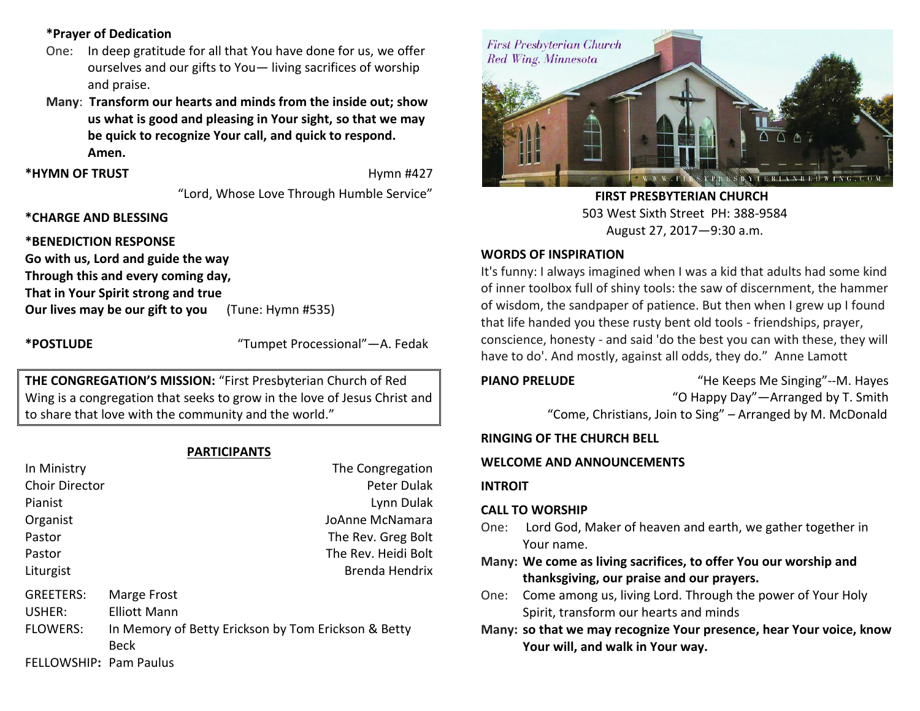## **\*Prayer of Dedication**

- One: In deep gratitude for all that You have done for us, we offer ourselves and our gifts to You— living sacrifices of worship and praise.
- **Many**: **Transform our hearts and minds from the inside out; show us what is good and pleasing in Your sight, so that we may be quick to recognize Your call, and quick to respond. Amen.**

\*HYMN OF TRUST **Hymn #427** 

"Lord, Whose Love Through Humble Service"

## **\*CHARGE AND BLESSING**

## **\*BENEDICTION RESPONSE**

**Go with us, Lord and guide the way Through this and every coming day, That in Your Spirit strong and true Our lives may be our gift to you** (Tune: Hymn #535)

**\*POSTLUDE** "Tumpet Processional"—A. Fedak

**THE CONGREGATION'S MISSION:** "First Presbyterian Church of Red Wing is a congregation that seeks to grow in the love of Jesus Christ and to share that love with the community and the world."

## **PARTICIPANTS**

| In Ministry            | The Congregation                                    |
|------------------------|-----------------------------------------------------|
| <b>Choir Director</b>  | Peter Dulak                                         |
| Pianist                | Lynn Dulak                                          |
| Organist               | JoAnne McNamara                                     |
| Pastor                 | The Rev. Greg Bolt                                  |
| Pastor                 | The Rev. Heidi Bolt                                 |
| Liturgist              | Brenda Hendrix                                      |
| <b>GREETERS:</b>       | Marge Frost                                         |
| USHER:                 | <b>Elliott Mann</b>                                 |
| <b>FLOWERS:</b>        | In Memory of Betty Erickson by Tom Erickson & Betty |
|                        | <b>Beck</b>                                         |
| FELLOWSHIP: Pam Paulus |                                                     |



 **FIRST PRESBYTERIAN CHURCH** 503 West Sixth Street PH: 388-9584 August 27, 2017—9:30 a.m.

## **WORDS OF INSPIRATION**

It's funny: I always imagined when I was a kid that adults had some kind of inner toolbox full of shiny tools: the saw of discernment, the hammer of wisdom, the sandpaper of patience. But then when I grew up I found that life handed you these rusty bent old tools - friendships, prayer, conscience, honesty - and said 'do the best you can with these, they will have to do'. And mostly, against all odds, they do." Anne Lamott

**PIANO PRELUDE** "He Keeps Me Singing"--M. Hayes "O Happy Day"—Arranged by T. Smith

"Come, Christians, Join to Sing" – Arranged by M. McDonald

## **RINGING OF THE CHURCH BELL**

## **WELCOME AND ANNOUNCEMENTS**

## **INTROIT**

## **CALL TO WORSHIP**

- One: Lord God, Maker of heaven and earth, we gather together in Your name.
- **Many: We come as living sacrifices, to offer You our worship and thanksgiving, our praise and our prayers.**
- One: Come among us, living Lord. Through the power of Your Holy Spirit, transform our hearts and minds
- **Many: so that we may recognize Your presence, hear Your voice, know Your will, and walk in Your way.**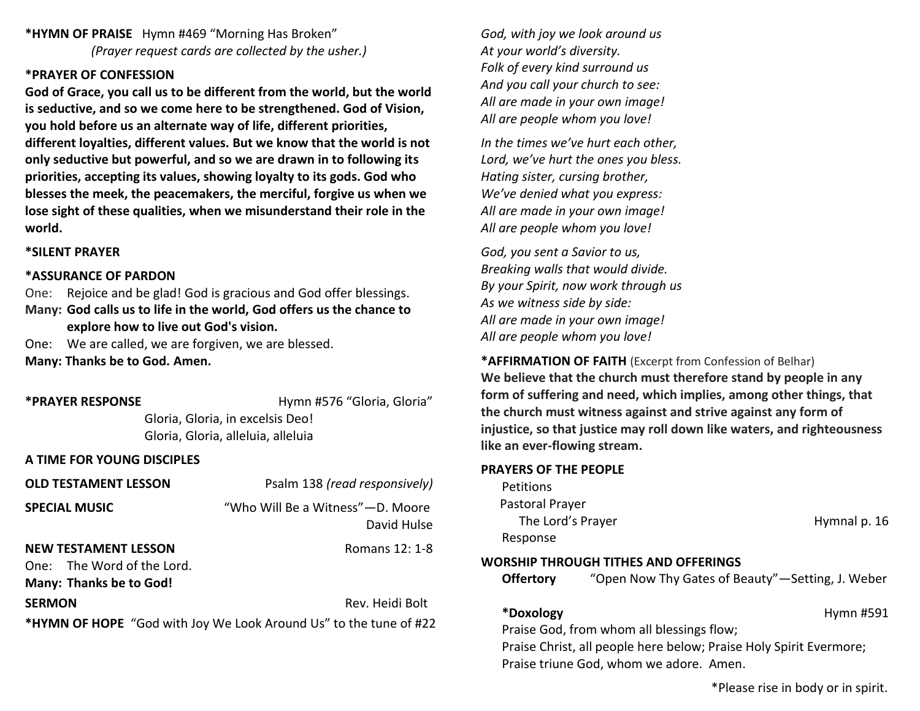**\*HYMN OF PRAISE** Hymn #469 "Morning Has Broken" *(Prayer request cards are collected by the usher.)*

### **\*PRAYER OF CONFESSION**

**God of Grace, you call us to be different from the world, but the world is seductive, and so we come here to be strengthened. God of Vision, you hold before us an alternate way of life, different priorities, different loyalties, different values. But we know that the world is not only seductive but powerful, and so we are drawn in to following its priorities, accepting its values, showing loyalty to its gods. God who blesses the meek, the peacemakers, the merciful, forgive us when we lose sight of these qualities, when we misunderstand their role in the world.**

### **\*SILENT PRAYER**

#### **\*ASSURANCE OF PARDON**

One: Rejoice and be glad! God is gracious and God offer blessings. **Many: God calls us to life in the world, God offers us the chance to explore how to live out God's vision.**

One: We are called, we are forgiven, we are blessed.

**Many: Thanks be to God. Amen.**

**\*PRAYER RESPONSE** Hymn #576 "Gloria, Gloria"

Gloria, Gloria, in excelsis Deo! Gloria, Gloria, alleluia, alleluia

### **A TIME FOR YOUNG DISCIPLES**

| <b>OLD TESTAMENT LESSON</b>                                                                 | Psalm 138 (read responsively)                     |  |
|---------------------------------------------------------------------------------------------|---------------------------------------------------|--|
| <b>SPECIAL MUSIC</b>                                                                        | "Who Will Be a Witness" - D. Moore<br>David Hulse |  |
| <b>NEW TESTAMENT LESSON</b><br>One: The Word of the Lord.<br><b>Many: Thanks be to God!</b> | Romans 12: 1-8                                    |  |
| <b>SERMON</b>                                                                               | Rev. Heidi Bolt                                   |  |
|                                                                                             |                                                   |  |

**\*HYMN OF HOPE** "God with Joy We Look Around Us" to the tune of #22

*God, with joy we look around us At your world's diversity. Folk of every kind surround us And you call your church to see: All are made in your own image! All are people whom you love!*

*In the times we've hurt each other, Lord, we've hurt the ones you bless. Hating sister, cursing brother, We've denied what you express: All are made in your own image! All are people whom you love!*

*God, you sent a Savior to us, Breaking walls that would divide. By your Spirit, now work through us As we witness side by side: All are made in your own image! All are people whom you love!*

**\*AFFIRMATION OF FAITH** (Excerpt from Confession of Belhar) **We believe that the church must therefore stand by people in any form of suffering and need, which implies, among other things, that the church must witness against and strive against any form of injustice, so that justice may roll down like waters, and righteousness like an ever‐flowing stream.**

### **PRAYERS OF THE PEOPLE**

**Petitions**  Pastoral Prayer The Lord's Prayer The Lord's Prayer Hymnal p. 16 Response

### **WORSHIP THROUGH TITHES AND OFFERINGS**

**Offertory** "Open Now Thy Gates of Beauty"—Setting, J. Weber

**\*Doxology** Hymn #591

Praise God, from whom all blessings flow; Praise Christ, all people here below; Praise Holy Spirit Evermore; Praise triune God, whom we adore. Amen.

\*Please rise in body or in spirit.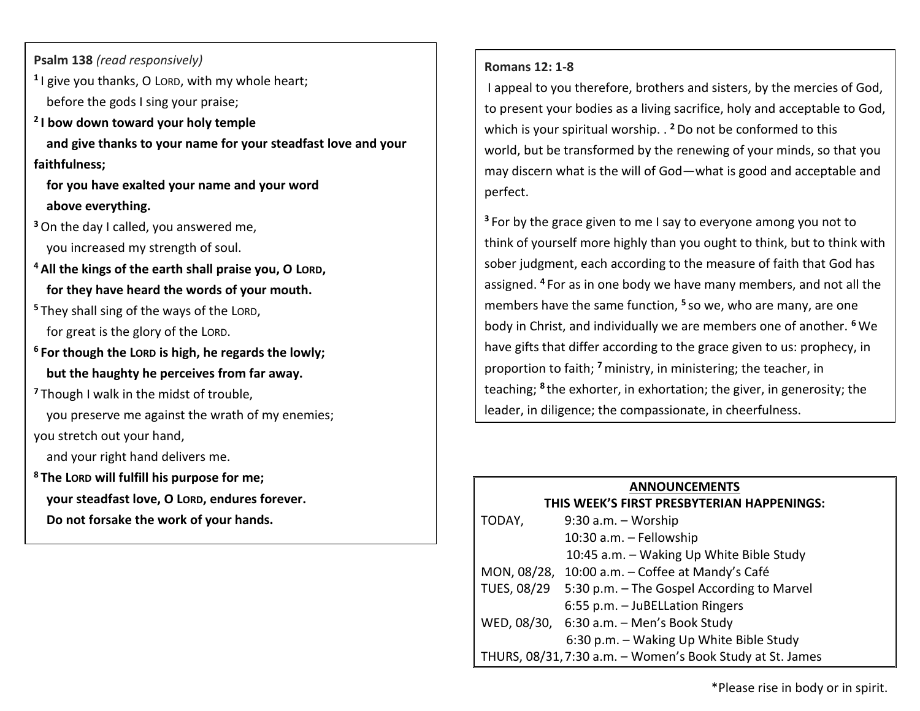**Psalm 138** *(read responsively)*

- **1** I give you thanks, O LORD, with my whole heart; before the gods I sing your praise;
- **2 I bow down toward your holy temple and give thanks to your name for your steadfast love and your faithfulness;**

 **for you have exalted your name and your word above everything.**

**<sup>3</sup>**On the day I called, you answered me,

you increased my strength of soul.

- **<sup>4</sup>All the kings of the earth shall praise you, O LORD, for they have heard the words of your mouth.**
- **<sup>5</sup>** They shall sing of the ways of the LORD, for great is the glory of the LORD.
- **<sup>6</sup> For though the LORD is high, he regards the lowly; but the haughty he perceives from far away.**
- **<sup>7</sup>** Though I walk in the midst of trouble,
- you preserve me against the wrath of my enemies;
- you stretch out your hand,

and your right hand delivers me.

**<sup>8</sup> The LORD will fulfill his purpose for me; your steadfast love, O LORD, endures forever. Do not forsake the work of your hands.**

## **Romans 12: 1-8**

I appeal to you therefore, brothers and sisters, by the mercies of God, to present your bodies as a living sacrifice, holy and acceptable to God, which is your spiritual worship. . **<sup>2</sup>**Do not be conformed to this world, but be transformed by the renewing of your minds, so that you may discern what is the will of God—what is good and acceptable and perfect.

**<sup>3</sup>** For by the grace given to me I say to everyone among you not to think of yourself more highly than you ought to think, but to think with sober judgment, each according to the measure of faith that God has assigned. **<sup>4</sup>** For as in one body we have many members, and not all the members have the same function, **<sup>5</sup>** so we, who are many, are one body in Christ, and individually we are members one of another. **<sup>6</sup>** We have gifts that differ according to the grace given to us: prophecy, in proportion to faith; **<sup>7</sup>**ministry, in ministering; the teacher, in teaching; <sup>8</sup> the exhorter, in exhortation; the giver, in generosity; the leader, in diligence; the compassionate, in cheerfulness.

## **ANNOUNCEMENTS**

| THIS WEEK'S FIRST PRESBYTERIAN HAPPENINGS:                |                                                        |  |
|-----------------------------------------------------------|--------------------------------------------------------|--|
| TODAY,                                                    | 9:30 a.m. - Worship                                    |  |
|                                                           | 10:30 a.m. - Fellowship                                |  |
|                                                           | 10:45 a.m. - Waking Up White Bible Study               |  |
|                                                           | MON, 08/28, 10:00 a.m. - Coffee at Mandy's Café        |  |
|                                                           | TUES, 08/29 5:30 p.m. - The Gospel According to Marvel |  |
|                                                           | 6:55 p.m. - JuBELLation Ringers                        |  |
|                                                           | WED, 08/30, 6:30 a.m. - Men's Book Study               |  |
|                                                           | 6:30 p.m. - Waking Up White Bible Study                |  |
| THURS, 08/31, 7:30 a.m. - Women's Book Study at St. James |                                                        |  |

\*Please rise in body or in spirit.